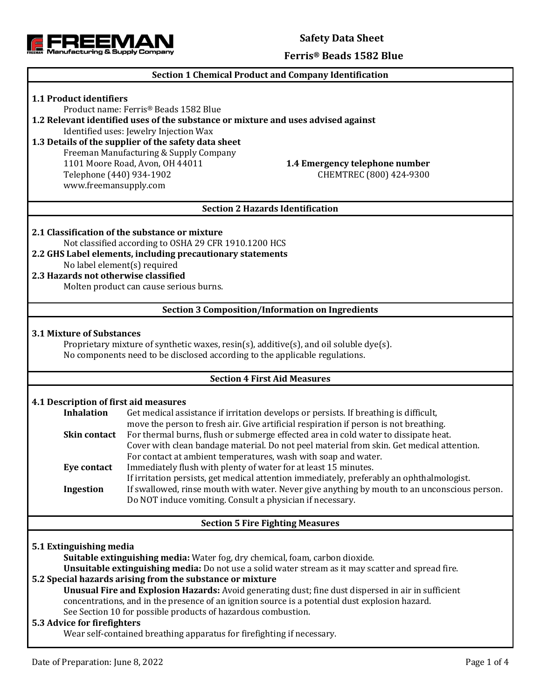**Safety Data Sheet**



## **Section 1 Chemical Product and Company Identification**

## **1.1 Product identifiers**

Product name: Ferris® Beads 1582 Blue

**1.2 Relevant identified uses of the substance or mixture and uses advised against**

Identified uses: Jewelry Injection Wax

## **1.3 Details of the supplier of the safety data sheet** Freeman Manufacturing & Supply Company 1101 Moore Road, Avon, OH 44011 **1.4 Emergency telephone number** Telephone (440) 934-1902 CHEMTREC (800) 424-9300

## **Section 2 Hazards Identification**

## **2.1 Classification of the substance or mixture**

Not classified according to OSHA 29 CFR 1910.1200 HCS **2.2 GHS Label elements, including precautionary statements**

No label element(s) required

www.freemansupply.com

## **2.3 Hazards not otherwise classified**

Molten product can cause serious burns.

#### **Section 3 Composition/Information on Ingredients**

#### **3.1 Mixture of Substances**

Proprietary mixture of synthetic waxes, resin(s), additive(s), and oil soluble dye(s). No components need to be disclosed according to the applicable regulations.

#### **Section 4 First Aid Measures**

### **4.1 Description of first aid measures**

| <b>Inhalation</b>   | Get medical assistance if irritation develops or persists. If breathing is difficult,        |
|---------------------|----------------------------------------------------------------------------------------------|
|                     | move the person to fresh air. Give artificial respiration if person is not breathing.        |
| <b>Skin contact</b> | For thermal burns, flush or submerge effected area in cold water to dissipate heat.          |
|                     | Cover with clean bandage material. Do not peel material from skin. Get medical attention.    |
|                     | For contact at ambient temperatures, wash with soap and water.                               |
| Eye contact         | Immediately flush with plenty of water for at least 15 minutes.                              |
|                     | If irritation persists, get medical attention immediately, preferably an ophthalmologist.    |
| Ingestion           | If swallowed, rinse mouth with water. Never give anything by mouth to an unconscious person. |
|                     | Do NOT induce vomiting. Consult a physician if necessary.                                    |

#### **Section 5 Fire Fighting Measures**

#### **5.1 Extinguishing media**

**Suitable extinguishing media:** Water fog, dry chemical, foam, carbon dioxide.

**Unsuitable extinguishing media:** Do not use a solid water stream as it may scatter and spread fire.

## **5.2 Special hazards arising from the substance or mixture**

**Unusual Fire and Explosion Hazards:** Avoid generating dust; fine dust dispersed in air in sufficient concentrations, and in the presence of an ignition source is a potential dust explosion hazard. See Section 10 for possible products of hazardous combustion.

### **5.3 Advice for firefighters**

Wear self-contained breathing apparatus for firefighting if necessary.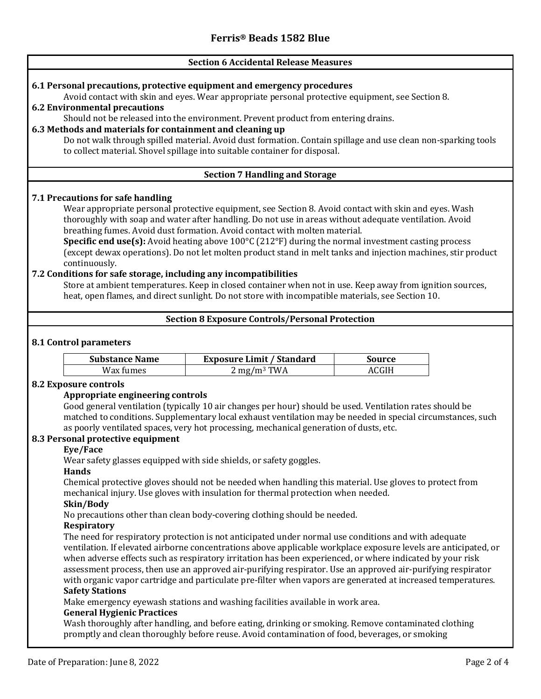## **Section 6 Accidental Release Measures**

## **6.1 Personal precautions, protective equipment and emergency procedures**

Avoid contact with skin and eyes. Wear appropriate personal protective equipment, see Section 8. **6.2 Environmental precautions**

Should not be released into the environment. Prevent product from entering drains.

## **6.3 Methods and materials for containment and cleaning up**

Do not walk through spilled material. Avoid dust formation. Contain spillage and use clean non-sparking tools to collect material. Shovel spillage into suitable container for disposal.

## **Section 7 Handling and Storage**

## **7.1 Precautions for safe handling**

Wear appropriate personal protective equipment, see Section 8. Avoid contact with skin and eyes. Wash thoroughly with soap and water after handling. Do not use in areas without adequate ventilation. Avoid breathing fumes. Avoid dust formation. Avoid contact with molten material.

**Specific end use(s):** Avoid heating above 100°C (212°F) during the normal investment casting process (except dewax operations). Do not let molten product stand in melt tanks and injection machines, stir product continuously.

## **7.2 Conditions for safe storage, including any incompatibilities**

Store at ambient temperatures. Keep in closed container when not in use. Keep away from ignition sources, heat, open flames, and direct sunlight. Do not store with incompatible materials, see Section 10.

## **Section 8 Exposure Controls/Personal Protection**

## **8.1 Control parameters**

| <b>Substance Name</b> | <b>Exposure Limit / Standard</b> | Source |
|-----------------------|----------------------------------|--------|
| Wax fumes             | $2 \text{ mg/m}^3$ TWA           | ACGIH  |

#### **8.2 Exposure controls**

#### **Appropriate engineering controls**

Good general ventilation (typically 10 air changes per hour) should be used. Ventilation rates should be matched to conditions. Supplementary local exhaust ventilation may be needed in special circumstances, such as poorly ventilated spaces, very hot processing, mechanical generation of dusts, etc.

## **8.3 Personal protective equipment**

#### **Eye/Face**

Wear safety glasses equipped with side shields, or safety goggles.

#### **Hands**

Chemical protective gloves should not be needed when handling this material. Use gloves to protect from mechanical injury. Use gloves with insulation for thermal protection when needed.

## **Skin/Body**

No precautions other than clean body-covering clothing should be needed.

#### **Respiratory**

The need for respiratory protection is not anticipated under normal use conditions and with adequate ventilation. If elevated airborne concentrations above applicable workplace exposure levels are anticipated, or when adverse effects such as respiratory irritation has been experienced, or where indicated by your risk assessment process, then use an approved air-purifying respirator. Use an approved air-purifying respirator with organic vapor cartridge and particulate pre-filter when vapors are generated at increased temperatures. **Safety Stations**

Make emergency eyewash stations and washing facilities available in work area.

### **General Hygienic Practices**

Wash thoroughly after handling, and before eating, drinking or smoking. Remove contaminated clothing promptly and clean thoroughly before reuse. Avoid contamination of food, beverages, or smoking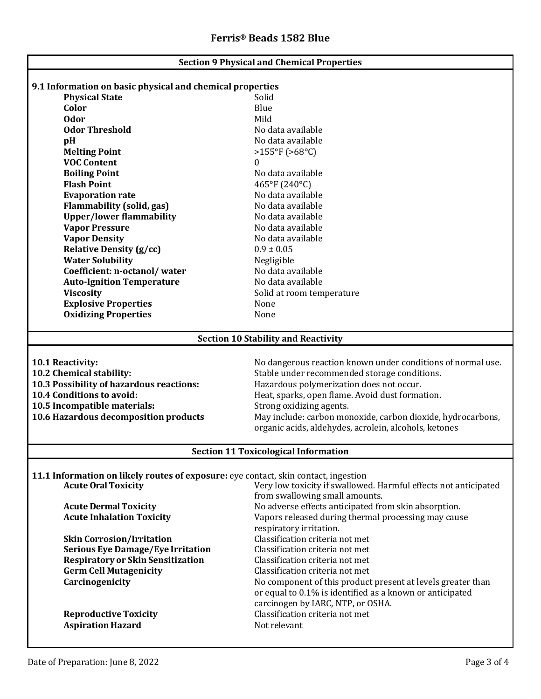| <b>Section 9 Physical and Chemical Properties</b>                                   |                                                                 |  |  |  |  |
|-------------------------------------------------------------------------------------|-----------------------------------------------------------------|--|--|--|--|
|                                                                                     |                                                                 |  |  |  |  |
| 9.1 Information on basic physical and chemical properties                           |                                                                 |  |  |  |  |
| <b>Physical State</b>                                                               | Solid                                                           |  |  |  |  |
| Color<br><b>Odor</b>                                                                | Blue<br>Mild                                                    |  |  |  |  |
| <b>Odor Threshold</b>                                                               | No data available                                               |  |  |  |  |
|                                                                                     |                                                                 |  |  |  |  |
| pH                                                                                  | No data available                                               |  |  |  |  |
| <b>Melting Point</b><br><b>VOC Content</b>                                          | $>155^{\circ}F(>68^{\circ}C)$<br>0                              |  |  |  |  |
| <b>Boiling Point</b>                                                                | No data available                                               |  |  |  |  |
| <b>Flash Point</b>                                                                  | 465°F (240°C)                                                   |  |  |  |  |
| <b>Evaporation rate</b>                                                             | No data available                                               |  |  |  |  |
| <b>Flammability (solid, gas)</b>                                                    | No data available                                               |  |  |  |  |
| <b>Upper/lower flammability</b>                                                     | No data available                                               |  |  |  |  |
| <b>Vapor Pressure</b>                                                               | No data available                                               |  |  |  |  |
| <b>Vapor Density</b>                                                                | No data available                                               |  |  |  |  |
| <b>Relative Density (g/cc)</b>                                                      | $0.9 \pm 0.05$                                                  |  |  |  |  |
| <b>Water Solubility</b>                                                             | Negligible                                                      |  |  |  |  |
| Coefficient: n-octanol/water                                                        | No data available                                               |  |  |  |  |
| <b>Auto-Ignition Temperature</b>                                                    | No data available                                               |  |  |  |  |
| <b>Viscosity</b>                                                                    | Solid at room temperature                                       |  |  |  |  |
| <b>Explosive Properties</b>                                                         | None                                                            |  |  |  |  |
| <b>Oxidizing Properties</b>                                                         | None                                                            |  |  |  |  |
|                                                                                     |                                                                 |  |  |  |  |
|                                                                                     | <b>Section 10 Stability and Reactivity</b>                      |  |  |  |  |
|                                                                                     |                                                                 |  |  |  |  |
| 10.1 Reactivity:                                                                    | No dangerous reaction known under conditions of normal use.     |  |  |  |  |
| 10.2 Chemical stability:                                                            | Stable under recommended storage conditions.                    |  |  |  |  |
| 10.3 Possibility of hazardous reactions:                                            | Hazardous polymerization does not occur.                        |  |  |  |  |
| 10.4 Conditions to avoid:                                                           | Heat, sparks, open flame. Avoid dust formation.                 |  |  |  |  |
| 10.5 Incompatible materials:                                                        | Strong oxidizing agents.                                        |  |  |  |  |
| 10.6 Hazardous decomposition products                                               | May include: carbon monoxide, carbon dioxide, hydrocarbons,     |  |  |  |  |
|                                                                                     | organic acids, aldehydes, acrolein, alcohols, ketones           |  |  |  |  |
| <b>Section 11 Toxicological Information</b>                                         |                                                                 |  |  |  |  |
|                                                                                     |                                                                 |  |  |  |  |
| 11.1 Information on likely routes of exposure: eye contact, skin contact, ingestion |                                                                 |  |  |  |  |
| <b>Acute Oral Toxicity</b>                                                          | Very low toxicity if swallowed. Harmful effects not anticipated |  |  |  |  |
|                                                                                     | from swallowing small amounts.                                  |  |  |  |  |
| <b>Acute Dermal Toxicity</b>                                                        | No adverse effects anticipated from skin absorption.            |  |  |  |  |
| <b>Acute Inhalation Toxicity</b>                                                    | Vapors released during thermal processing may cause             |  |  |  |  |
|                                                                                     | respiratory irritation.                                         |  |  |  |  |
| <b>Skin Corrosion/Irritation</b>                                                    | Classification criteria not met                                 |  |  |  |  |
| <b>Serious Eye Damage/Eye Irritation</b>                                            | Classification criteria not met                                 |  |  |  |  |
| <b>Respiratory or Skin Sensitization</b>                                            | Classification criteria not met                                 |  |  |  |  |
| <b>Germ Cell Mutagenicity</b>                                                       | Classification criteria not met                                 |  |  |  |  |
| Carcinogenicity                                                                     | No component of this product present at levels greater than     |  |  |  |  |
|                                                                                     | or equal to 0.1% is identified as a known or anticipated        |  |  |  |  |
|                                                                                     | carcinogen by IARC, NTP, or OSHA.                               |  |  |  |  |
| <b>Reproductive Toxicity</b><br><b>Aspiration Hazard</b>                            | Classification criteria not met<br>Not relevant                 |  |  |  |  |
|                                                                                     |                                                                 |  |  |  |  |
|                                                                                     |                                                                 |  |  |  |  |